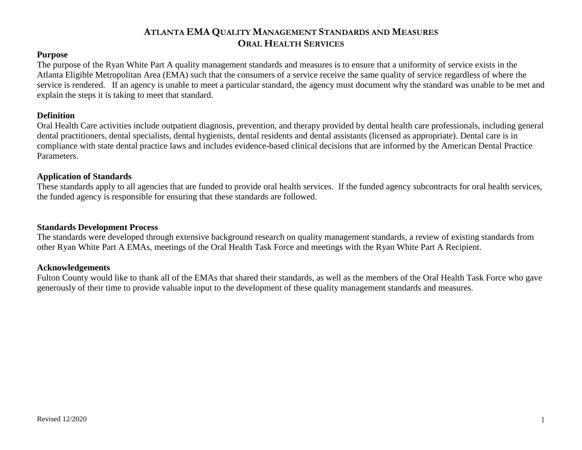#### **ATLANTA EMA QUALITY MANAGEMENT STANDARDS AND MEASURES ORAL HEALTH SERVICES**

#### **Purpose**

The purpose of the Ryan White Part A quality management standards and measures is to ensure that a uniformity of service exists in the Atlanta Eligible Metropolitan Area (EMA) such that the consumers of a service receive the same quality of service regardless of where the service is rendered. If an agency is unable to meet a particular standard, the agency must document why the standard was unable to be met and explain the steps it is taking to meet that standard.

#### **Definition**

Oral Health Care activities include outpatient diagnosis, prevention, and therapy provided by dental health care professionals, including general dental practitioners, dental specialists, dental hygienists, dental residents and dental assistants (licensed as appropriate). Dental care is in compliance with state dental practice laws and includes evidence-based clinical decisions that are informed by the American Dental Practice Parameters.

#### **Application of Standards**

These standards apply to all agencies that are funded to provide oral health services. If the funded agency subcontracts for oral health services, the funded agency is responsible for ensuring that these standards are followed.

#### **Standards Development Process**

The standards were developed through extensive background research on quality management standards, a review of existing standards from other Ryan White Part A EMAs, meetings of the Oral Health Task Force and meetings with the Ryan White Part A Recipient.

#### **Acknowledgements**

Fulton County would like to thank all of the EMAs that shared their standards, as well as the members of the Oral Health Task Force who gave generously of their time to provide valuable input to the development of these quality management standards and measures.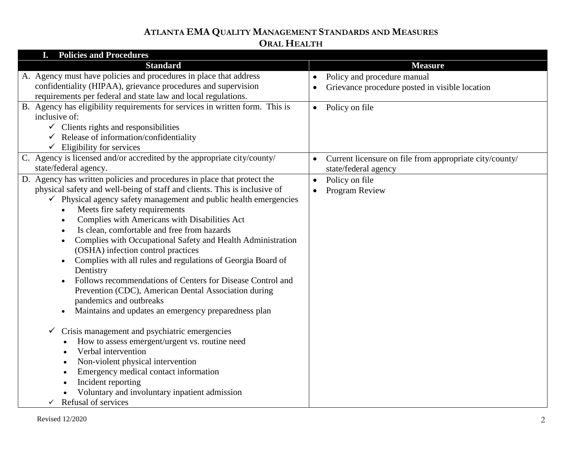## **ATLANTA EMA QUALITY MANAGEMENT STANDARDS AND MEASURES ORAL HEALTH**

| <b>Policies and Procedures</b>                                               |                                                                      |
|------------------------------------------------------------------------------|----------------------------------------------------------------------|
| <b>Standard</b>                                                              | <b>Measure</b>                                                       |
| A. Agency must have policies and procedures in place that address            | Policy and procedure manual                                          |
| confidentiality (HIPAA), grievance procedures and supervision                | Grievance procedure posted in visible location                       |
| requirements per federal and state law and local regulations.                |                                                                      |
| B. Agency has eligibility requirements for services in written form. This is | Policy on file<br>$\bullet$                                          |
| inclusive of:                                                                |                                                                      |
| $\checkmark$ Clients rights and responsibilities                             |                                                                      |
| $\checkmark$ Release of information/confidentiality                          |                                                                      |
| $\checkmark$ Eligibility for services                                        |                                                                      |
| C. Agency is licensed and/or accredited by the appropriate city/county/      | Current licensure on file from appropriate city/county/<br>$\bullet$ |
| state/federal agency.                                                        | state/federal agency                                                 |
| D. Agency has written policies and procedures in place that protect the      | Policy on file                                                       |
| physical safety and well-being of staff and clients. This is inclusive of    | Program Review                                                       |
| $\checkmark$ Physical agency safety management and public health emergencies |                                                                      |
| Meets fire safety requirements<br>$\bullet$                                  |                                                                      |
| Complies with Americans with Disabilities Act<br>$\bullet$                   |                                                                      |
| Is clean, comfortable and free from hazards<br>$\bullet$                     |                                                                      |
| Complies with Occupational Safety and Health Administration<br>$\bullet$     |                                                                      |
| (OSHA) infection control practices                                           |                                                                      |
| Complies with all rules and regulations of Georgia Board of                  |                                                                      |
| Dentistry                                                                    |                                                                      |
| Follows recommendations of Centers for Disease Control and                   |                                                                      |
| Prevention (CDC), American Dental Association during                         |                                                                      |
| pandemics and outbreaks                                                      |                                                                      |
| Maintains and updates an emergency preparedness plan<br>$\bullet$            |                                                                      |
|                                                                              |                                                                      |
| Crisis management and psychiatric emergencies<br>$\checkmark$                |                                                                      |
| How to assess emergent/urgent vs. routine need                               |                                                                      |
| Verbal intervention                                                          |                                                                      |
| Non-violent physical intervention                                            |                                                                      |
| Emergency medical contact information                                        |                                                                      |
| Incident reporting                                                           |                                                                      |
| Voluntary and involuntary inpatient admission                                |                                                                      |
| Refusal of services<br>$\checkmark$                                          |                                                                      |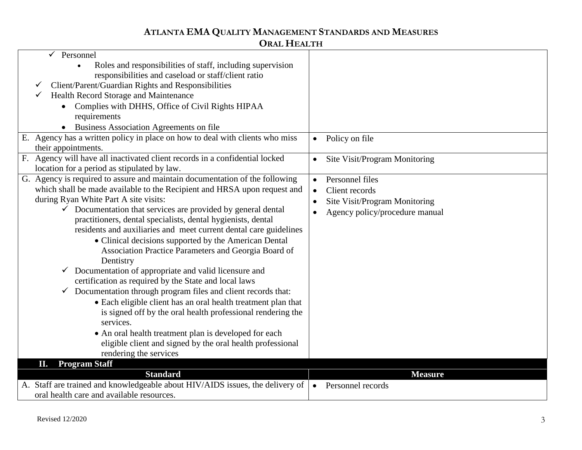# **ATLANTA EMA QUALITY MANAGEMENT STANDARDS AND MEASURES**

## **ORAL HEALTH**

| Personnel                                                                                           |                                            |
|-----------------------------------------------------------------------------------------------------|--------------------------------------------|
| Roles and responsibilities of staff, including supervision                                          |                                            |
| responsibilities and caseload or staff/client ratio                                                 |                                            |
| Client/Parent/Guardian Rights and Responsibilities                                                  |                                            |
| Health Record Storage and Maintenance                                                               |                                            |
| Complies with DHHS, Office of Civil Rights HIPAA                                                    |                                            |
| requirements                                                                                        |                                            |
| Business Association Agreements on file                                                             |                                            |
| E. Agency has a written policy in place on how to deal with clients who miss<br>their appointments. | Policy on file<br>$\bullet$                |
| F. Agency will have all inactivated client records in a confidential locked                         | Site Visit/Program Monitoring<br>$\bullet$ |
| location for a period as stipulated by law.                                                         |                                            |
| G. Agency is required to assure and maintain documentation of the following                         | Personnel files<br>$\bullet$               |
| which shall be made available to the Recipient and HRSA upon request and                            | Client records<br>$\bullet$                |
| during Ryan White Part A site visits:                                                               | Site Visit/Program Monitoring<br>$\bullet$ |
| $\checkmark$ Documentation that services are provided by general dental                             | Agency policy/procedure manual             |
| practitioners, dental specialists, dental hygienists, dental                                        |                                            |
| residents and auxiliaries and meet current dental care guidelines                                   |                                            |
| • Clinical decisions supported by the American Dental                                               |                                            |
| Association Practice Parameters and Georgia Board of                                                |                                            |
| Dentistry                                                                                           |                                            |
| Documentation of appropriate and valid licensure and<br>✓                                           |                                            |
| certification as required by the State and local laws                                               |                                            |
| $\checkmark$ Documentation through program files and client records that:                           |                                            |
| • Each eligible client has an oral health treatment plan that                                       |                                            |
| is signed off by the oral health professional rendering the                                         |                                            |
| services.                                                                                           |                                            |
| • An oral health treatment plan is developed for each                                               |                                            |
| eligible client and signed by the oral health professional                                          |                                            |
| rendering the services                                                                              |                                            |
| <b>Program Staff</b><br>П.                                                                          |                                            |
| <b>Standard</b>                                                                                     | <b>Measure</b>                             |
| A. Staff are trained and knowledgeable about HIV/AIDS issues, the delivery of                       | Personnel records<br>$\bullet$             |
| oral health care and available resources.                                                           |                                            |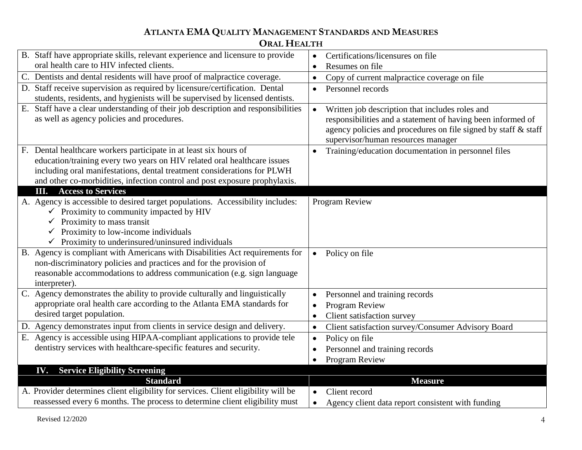## **ATLANTA EMA QUALITY MANAGEMENT STANDARDS AND MEASURES ORAL HEALTH**

|    | B. Staff have appropriate skills, relevant experience and licensure to provide     | Certifications/licensures on file<br>$\bullet$                   |
|----|------------------------------------------------------------------------------------|------------------------------------------------------------------|
|    | oral health care to HIV infected clients.                                          | Resumes on file<br>$\bullet$                                     |
|    | C. Dentists and dental residents will have proof of malpractice coverage.          | Copy of current malpractice coverage on file<br>$\bullet$        |
|    | D. Staff receive supervision as required by licensure/certification. Dental        | Personnel records<br>$\bullet$                                   |
|    | students, residents, and hygienists will be supervised by licensed dentists.       |                                                                  |
|    | E. Staff have a clear understanding of their job description and responsibilities  | Written job description that includes roles and<br>$\bullet$     |
|    | as well as agency policies and procedures.                                         | responsibilities and a statement of having been informed of      |
|    |                                                                                    | agency policies and procedures on file signed by staff & staff   |
|    |                                                                                    | supervisor/human resources manager                               |
| F. | Dental healthcare workers participate in at least six hours of                     | Training/education documentation in personnel files<br>$\bullet$ |
|    | education/training every two years on HIV related oral healthcare issues           |                                                                  |
|    | including oral manifestations, dental treatment considerations for PLWH            |                                                                  |
|    | and other co-morbidities, infection control and post exposure prophylaxis.         |                                                                  |
|    | <b>Access to Services</b><br>Ш.                                                    |                                                                  |
|    | A. Agency is accessible to desired target populations. Accessibility includes:     | Program Review                                                   |
|    | $\checkmark$ Proximity to community impacted by HIV                                |                                                                  |
|    | $\checkmark$ Proximity to mass transit                                             |                                                                  |
|    | $\checkmark$ Proximity to low-income individuals                                   |                                                                  |
|    | $\checkmark$ Proximity to underinsured/uninsured individuals                       |                                                                  |
|    | B. Agency is compliant with Americans with Disabilities Act requirements for       | Policy on file<br>$\bullet$                                      |
|    | non-discriminatory policies and practices and for the provision of                 |                                                                  |
|    | reasonable accommodations to address communication (e.g. sign language             |                                                                  |
|    | interpreter).                                                                      |                                                                  |
|    | C. Agency demonstrates the ability to provide culturally and linguistically        | Personnel and training records<br>$\bullet$                      |
|    | appropriate oral health care according to the Atlanta EMA standards for            | Program Review<br>$\bullet$                                      |
|    | desired target population.                                                         | Client satisfaction survey<br>$\bullet$                          |
|    | Agency demonstrates input from clients in service design and delivery.             | Client satisfaction survey/Consumer Advisory Board<br>$\bullet$  |
|    | E. Agency is accessible using HIPAA-compliant applications to provide tele         | Policy on file<br>$\bullet$                                      |
|    | dentistry services with healthcare-specific features and security.                 | Personnel and training records                                   |
|    |                                                                                    | Program Review                                                   |
|    | <b>IV.</b> Service Eligibility Screening                                           |                                                                  |
|    | <b>Standard</b>                                                                    | <b>Measure</b>                                                   |
|    | A. Provider determines client eligibility for services. Client eligibility will be | Client record                                                    |
|    | reassessed every 6 months. The process to determine client eligibility must        | Agency client data report consistent with funding<br>$\bullet$   |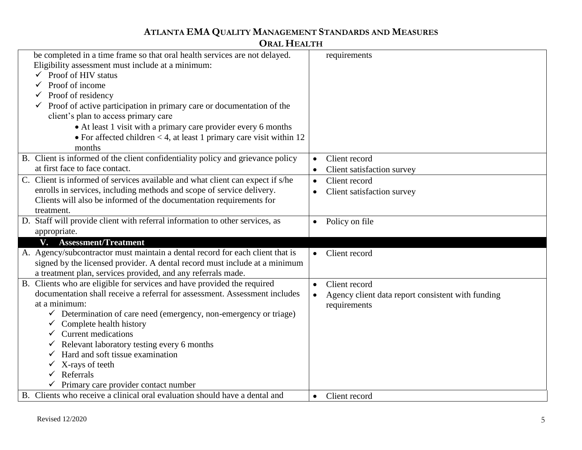## **ATLANTA EMA QUALITY MANAGEMENT STANDARDS AND MEASURES**

### **ORAL HEALTH**

| be completed in a time frame so that oral health services are not delayed.      |           | requirements                                      |
|---------------------------------------------------------------------------------|-----------|---------------------------------------------------|
| Eligibility assessment must include at a minimum:                               |           |                                                   |
| $\checkmark$ Proof of HIV status                                                |           |                                                   |
| $\checkmark$ Proof of income                                                    |           |                                                   |
| Proof of residency                                                              |           |                                                   |
| Proof of active participation in primary care or documentation of the           |           |                                                   |
| client's plan to access primary care                                            |           |                                                   |
| • At least 1 visit with a primary care provider every 6 months                  |           |                                                   |
| • For affected children $<$ 4, at least 1 primary care visit within 12          |           |                                                   |
| months                                                                          |           |                                                   |
| B. Client is informed of the client confidentiality policy and grievance policy | $\bullet$ | Client record                                     |
| at first face to face contact.                                                  | $\bullet$ | Client satisfaction survey                        |
| C. Client is informed of services available and what client can expect if s/he  | $\bullet$ | Client record                                     |
| enrolls in services, including methods and scope of service delivery.           | $\bullet$ | Client satisfaction survey                        |
| Clients will also be informed of the documentation requirements for             |           |                                                   |
| treatment.                                                                      |           |                                                   |
| D. Staff will provide client with referral information to other services, as    |           | Policy on file                                    |
| appropriate.                                                                    |           |                                                   |
| V. Assessment/Treatment                                                         |           |                                                   |
| A. Agency/subcontractor must maintain a dental record for each client that is   |           | Client record                                     |
| signed by the licensed provider. A dental record must include at a minimum      |           |                                                   |
| a treatment plan, services provided, and any referrals made.                    |           |                                                   |
| B. Clients who are eligible for services and have provided the required         | $\bullet$ | Client record                                     |
| documentation shall receive a referral for assessment. Assessment includes      | $\bullet$ | Agency client data report consistent with funding |
| at a minimum:                                                                   |           | requirements                                      |
| $\checkmark$ Determination of care need (emergency, non-emergency or triage)    |           |                                                   |
| $\checkmark$ Complete health history                                            |           |                                                   |
| $\checkmark$ Current medications                                                |           |                                                   |
| Relevant laboratory testing every 6 months<br>✓                                 |           |                                                   |
| Hard and soft tissue examination                                                |           |                                                   |
| X-rays of teeth                                                                 |           |                                                   |
| Referrals                                                                       |           |                                                   |
| Primary care provider contact number                                            |           |                                                   |
| B. Clients who receive a clinical oral evaluation should have a dental and      | $\bullet$ | Client record                                     |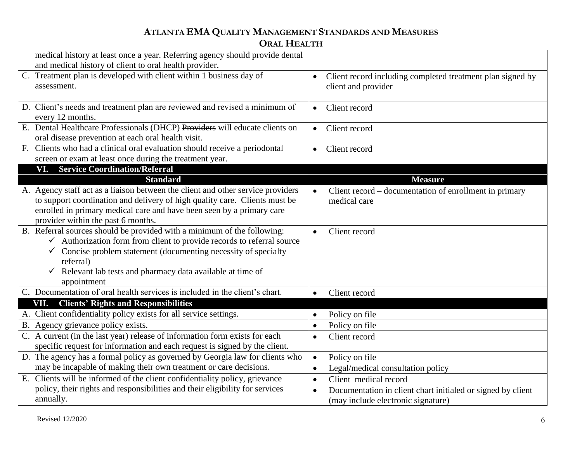## **ATLANTA EMA QUALITY MANAGEMENT STANDARDS AND MEASURES ORAL HEALTH**

| medical history at least once a year. Referring agency should provide dental<br>and medical history of client to oral health provider. |           |                                                             |
|----------------------------------------------------------------------------------------------------------------------------------------|-----------|-------------------------------------------------------------|
| C. Treatment plan is developed with client within 1 business day of                                                                    |           | Client record including completed treatment plan signed by  |
| assessment.                                                                                                                            |           | client and provider                                         |
|                                                                                                                                        |           |                                                             |
| D. Client's needs and treatment plan are reviewed and revised a minimum of                                                             | $\bullet$ | Client record                                               |
| every 12 months.                                                                                                                       |           |                                                             |
| E. Dental Healthcare Professionals (DHCP) Providers will educate clients on                                                            | $\bullet$ | Client record                                               |
| oral disease prevention at each oral health visit.                                                                                     |           |                                                             |
| F. Clients who had a clinical oral evaluation should receive a periodontal                                                             | $\bullet$ | Client record                                               |
| screen or exam at least once during the treatment year.                                                                                |           |                                                             |
| VI. Service Coordination/Referral                                                                                                      |           |                                                             |
| <b>Standard</b>                                                                                                                        |           | <b>Measure</b>                                              |
| A. Agency staff act as a liaison between the client and other service providers                                                        | $\bullet$ | Client record – documentation of enrollment in primary      |
| to support coordination and delivery of high quality care. Clients must be                                                             |           | medical care                                                |
| enrolled in primary medical care and have been seen by a primary care                                                                  |           |                                                             |
| provider within the past 6 months.                                                                                                     |           |                                                             |
| B. Referral sources should be provided with a minimum of the following:                                                                | $\bullet$ | Client record                                               |
| $\checkmark$ Authorization form from client to provide records to referral source                                                      |           |                                                             |
| Concise problem statement (documenting necessity of specialty<br>$\checkmark$                                                          |           |                                                             |
| referral)                                                                                                                              |           |                                                             |
| $\checkmark$ Relevant lab tests and pharmacy data available at time of                                                                 |           |                                                             |
| appointment                                                                                                                            |           |                                                             |
| C. Documentation of oral health services is included in the client's chart.                                                            | $\bullet$ | Client record                                               |
| VII. Clients' Rights and Responsibilities                                                                                              |           |                                                             |
| A. Client confidentiality policy exists for all service settings.                                                                      | $\bullet$ | Policy on file                                              |
| B. Agency grievance policy exists.                                                                                                     | $\bullet$ | Policy on file                                              |
| C. A current (in the last year) release of information form exists for each                                                            | $\bullet$ | Client record                                               |
| specific request for information and each request is signed by the client.                                                             |           |                                                             |
| D. The agency has a formal policy as governed by Georgia law for clients who                                                           | $\bullet$ | Policy on file                                              |
| may be incapable of making their own treatment or care decisions.                                                                      | $\bullet$ | Legal/medical consultation policy                           |
| E. Clients will be informed of the client confidentiality policy, grievance                                                            | $\bullet$ | Client medical record                                       |
| policy, their rights and responsibilities and their eligibility for services                                                           | $\bullet$ | Documentation in client chart initialed or signed by client |
| annually.                                                                                                                              |           | (may include electronic signature)                          |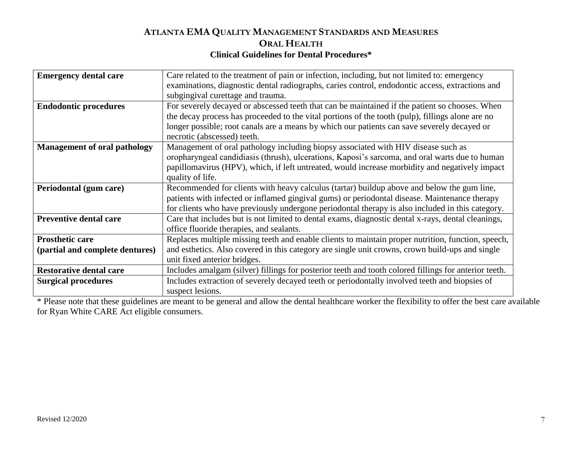#### **ATLANTA EMA QUALITY MANAGEMENT STANDARDS AND MEASURES ORAL HEALTH Clinical Guidelines for Dental Procedures\***

| Care related to the treatment of pain or infection, including, but not limited to: emergency                         |  |  |  |
|----------------------------------------------------------------------------------------------------------------------|--|--|--|
| examinations, diagnostic dental radiographs, caries control, endodontic access, extractions and                      |  |  |  |
| subgingival curettage and trauma.                                                                                    |  |  |  |
| For severely decayed or abscessed teeth that can be maintained if the patient so chooses. When                       |  |  |  |
| the decay process has proceeded to the vital portions of the tooth (pulp), fillings alone are no                     |  |  |  |
| longer possible; root canals are a means by which our patients can save severely decayed or                          |  |  |  |
| necrotic (abscessed) teeth.                                                                                          |  |  |  |
| Management of oral pathology including biopsy associated with HIV disease such as                                    |  |  |  |
| oropharyngeal candidiasis (thrush), ulcerations, Kaposi's sarcoma, and oral warts due to human                       |  |  |  |
| papillomavirus (HPV), which, if left untreated, would increase morbidity and negatively impact                       |  |  |  |
| quality of life.                                                                                                     |  |  |  |
| Periodontal (gum care)<br>Recommended for clients with heavy calculus (tartar) buildup above and below the gum line, |  |  |  |
| patients with infected or inflamed gingival gums) or periodontal disease. Maintenance therapy                        |  |  |  |
| for clients who have previously undergone periodontal therapy is also included in this category.                     |  |  |  |
| Care that includes but is not limited to dental exams, diagnostic dental x-rays, dental cleanings,                   |  |  |  |
| office fluoride therapies, and sealants.                                                                             |  |  |  |
| Replaces multiple missing teeth and enable clients to maintain proper nutrition, function, speech,                   |  |  |  |
| and esthetics. Also covered in this category are single unit crowns, crown build-ups and single                      |  |  |  |
| unit fixed anterior bridges.                                                                                         |  |  |  |
| Includes amalgam (silver) fillings for posterior teeth and tooth colored fillings for anterior teeth.                |  |  |  |
| Includes extraction of severely decayed teeth or periodontally involved teeth and biopsies of                        |  |  |  |
| suspect lesions.                                                                                                     |  |  |  |
|                                                                                                                      |  |  |  |

\* Please note that these guidelines are meant to be general and allow the dental healthcare worker the flexibility to offer the best care available for Ryan White CARE Act eligible consumers.